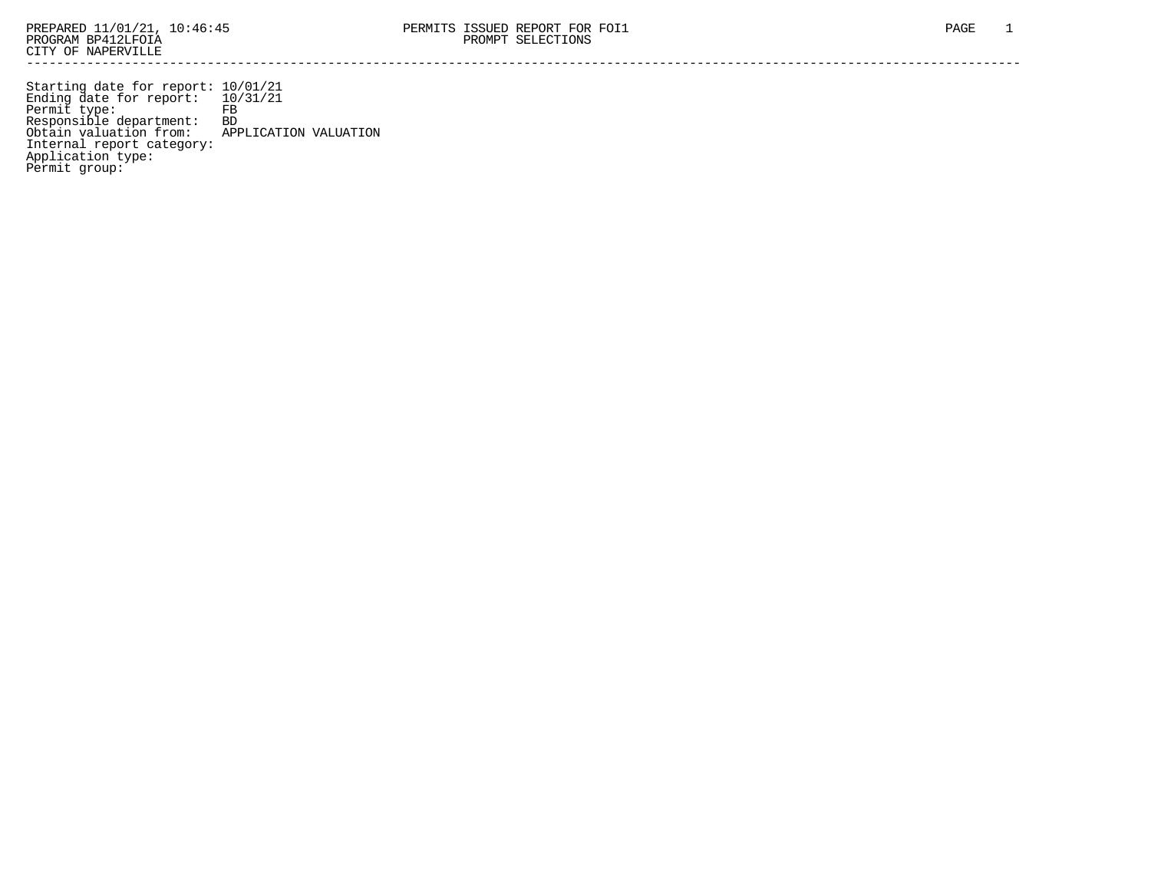Starting date for report: 10/01/21 Ending date for report: 10/31/21 Permit type: FB Responsible department: BD Obtain valuation from: APPLICATION VALUATION Internal report category: Application type: Permit group: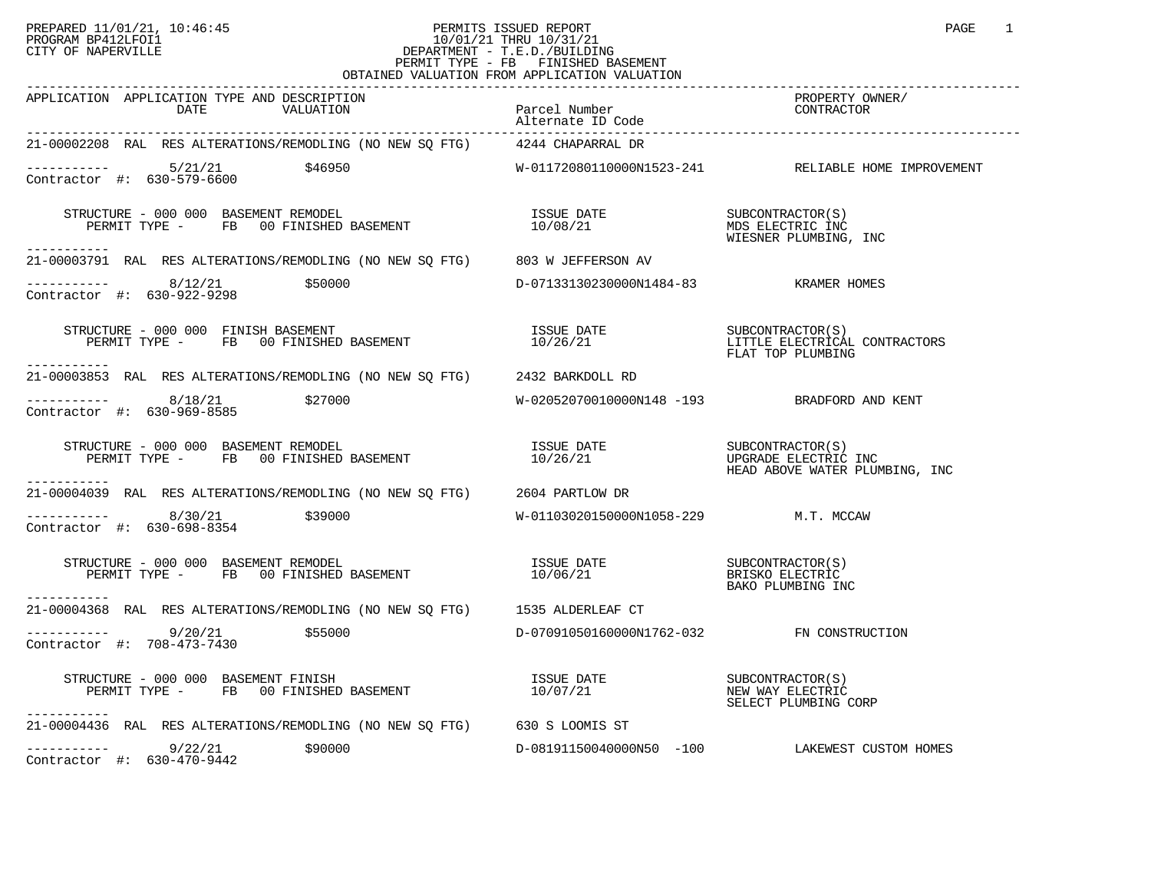## PREPARED 11/01/21, 10:46:45 PERMITS ISSUED REPORT PAGE 1<br>PROGRAM BP412LFOI1 PROGRAM PROGRAM BP412LFOI1 PROGRAM BP412LFOI1 10/01/21 THRU 10/31/21 CITY OF NAPERVILLE **Example 20** CITY OF NAPERVILLE PERMIT TYPE - FB FINISHED BASEMENT OBTAINED VALUATION FROM APPLICATION VALUATION

| APPLICATION APPLICATION TYPE AND DESCRIPTION<br>DATE<br>VALUATION                                                                                                                                                                                                                                                                                                   | Parcel Number<br>Alternate ID Code          | PROPERTY OWNER/<br>CONTRACTOR                                          |
|---------------------------------------------------------------------------------------------------------------------------------------------------------------------------------------------------------------------------------------------------------------------------------------------------------------------------------------------------------------------|---------------------------------------------|------------------------------------------------------------------------|
| 21-00002208 RAL RES ALTERATIONS/REMODLING (NO NEW SQ FTG) 4244 CHAPARRAL DR                                                                                                                                                                                                                                                                                         |                                             |                                                                        |
| $\begin{array}{cccc}\n - & - & - & - & - - \\ \text{Contractor} & + & 630 - 579 - 6600 & & 546950\n \end{array}$                                                                                                                                                                                                                                                    |                                             | W-01172080110000N1523-241 RELIABLE HOME IMPROVEMENT                    |
| $\begin{array}{cccc} \texttt{STRUCTURE} & - & 000 & 000 & \texttt{BASEMENT} & \texttt{REMODEL} \\ \texttt{PERMIT} & - & \texttt{FB} & 00 & \texttt{FINISHED BASEMENT} & 10/08/21 & \texttt{MDS ELECTRIC INC} \\ \texttt{PERMIT TYPE} & - & \texttt{FB} & 00 & \texttt{FINISHED BASEMENT} & 10/08/21 & \texttt{WIESNER PLUMBING, INC} \\ \end{array}$<br>----------- |                                             |                                                                        |
| 21-00003791 RAL RES ALTERATIONS/REMODLING (NO NEW SQ FTG) 803 W JEFFERSON AV                                                                                                                                                                                                                                                                                        |                                             |                                                                        |
| $\frac{8}{12/21}$ \$50000<br>ntractor #: 520, 922, 9299<br>Contractor #: 630-922-9298                                                                                                                                                                                                                                                                               | D-07133130230000N1484-83 KRAMER HOMES       |                                                                        |
| $\begin{tabular}{lllllllllll} \texttt{STRUCTURE} & - & 000 & 000 & \texttt{FINISH BASEMENT} \\ \texttt{PERMIT TYPE} & - & \texttt{FB} & 00 & \texttt{FINISHED BASEMENT} \end{tabular}$                                                                                                                                                                              | ISSUE DATE<br>10/26/21                      | SUBCONTRACTOR(S)<br>LITTLE ELECTRICAL CONTRACTORS<br>FLAT TOP PLUMBING |
| 21-00003853 RAL RES ALTERATIONS/REMODLING (NO NEW SQ FTG) 2432 BARKDOLL RD                                                                                                                                                                                                                                                                                          |                                             |                                                                        |
| $--------$ 8/18/21 \$27000<br>Contractor #: 630-969-8585                                                                                                                                                                                                                                                                                                            | W-02052070010000N148 -193 BRADFORD AND KENT |                                                                        |
| STRUCTURE - 000 000 BASEMENT REMODEL [SSUE DATE SUBCONTRACTOR(S)<br>PERMIT TYPE - FB 00 FINISHED BASEMENT 10/26/21 [10/26/21] DPGRADE ELECTRIC INC<br>------------                                                                                                                                                                                                  |                                             |                                                                        |
| 21-00004039 RAL RES ALTERATIONS/REMODLING (NO NEW SQ FTG) 2604 PARTLOW DR                                                                                                                                                                                                                                                                                           |                                             |                                                                        |
| $--------- 8/30/21$ \$39000<br>Contractor #: 630-698-8354                                                                                                                                                                                                                                                                                                           | W-01103020150000N1058-229 M.T. MCCAW        |                                                                        |
| STRUCTURE - 000 000 BASEMENT REMODEL (S)<br>PERMIT TYPE - FB 00 FINISHED BASEMENT (S) 10/06/21 (S) BRISKO ELECTRIC<br>BAKO PLUMBING INC<br>-----------                                                                                                                                                                                                              |                                             |                                                                        |
| 21-00004368 RAL RES ALTERATIONS/REMODLING (NO NEW SQ FTG) 1535 ALDERLEAF CT                                                                                                                                                                                                                                                                                         |                                             |                                                                        |
| $--------$ 9/20/21<br>\$55000<br>Contractor #: 708-473-7430                                                                                                                                                                                                                                                                                                         | D-07091050160000N1762-032 FN CONSTRUCTION   |                                                                        |
| STRUCTURE - 000 000 BASEMENT FINISH<br>-----------                                                                                                                                                                                                                                                                                                                  |                                             | $SUBCONTRACTOR(S)$<br>NEW WAY ELECTRIC<br>SELECT PLUMBING CORP         |
| 21-00004436 RAL RES ALTERATIONS/REMODLING (NO NEW SQ FTG) 630 S LOOMIS ST                                                                                                                                                                                                                                                                                           |                                             |                                                                        |
| $---------$ 9/22/21 \$90000<br>Contractor #: 630-470-9442                                                                                                                                                                                                                                                                                                           |                                             | D-08191150040000N50 -100 LAKEWEST CUSTOM HOMES                         |